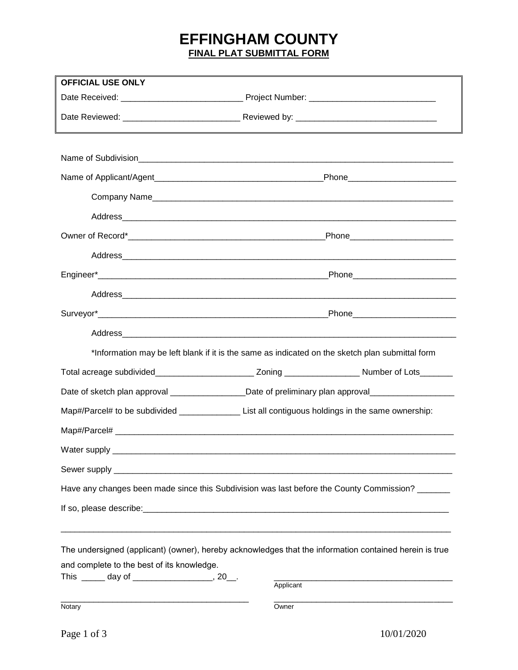## **EFFINGHAM COUNTY FINAL PLAT SUBMITTAL FORM**

| <b>OFFICIAL USE ONLY</b>                      |                                                                                                            |  |
|-----------------------------------------------|------------------------------------------------------------------------------------------------------------|--|
|                                               |                                                                                                            |  |
|                                               |                                                                                                            |  |
|                                               |                                                                                                            |  |
|                                               |                                                                                                            |  |
|                                               |                                                                                                            |  |
|                                               |                                                                                                            |  |
|                                               |                                                                                                            |  |
|                                               |                                                                                                            |  |
|                                               |                                                                                                            |  |
|                                               |                                                                                                            |  |
|                                               |                                                                                                            |  |
|                                               |                                                                                                            |  |
|                                               |                                                                                                            |  |
|                                               | *Information may be left blank if it is the same as indicated on the sketch plan submittal form            |  |
|                                               | Total acreage subdivided_______________________________Zoning ______________________Number of Lots________ |  |
|                                               | Date of sketch plan approval __________________Date of preliminary plan approval___________________        |  |
|                                               | Map#/Parcel# to be subdivided _____________________List all contiguous holdings in the same ownership:     |  |
|                                               |                                                                                                            |  |
| Water supply                                  |                                                                                                            |  |
|                                               |                                                                                                            |  |
|                                               | Have any changes been made since this Subdivision was last before the County Commission? ______            |  |
|                                               |                                                                                                            |  |
|                                               |                                                                                                            |  |
|                                               | The undersigned (applicant) (owner), hereby acknowledges that the information contained herein is true     |  |
| and complete to the best of its knowledge.    |                                                                                                            |  |
| This ______ day of ___________________, 20__. | Applicant                                                                                                  |  |
| Notary                                        | Owner                                                                                                      |  |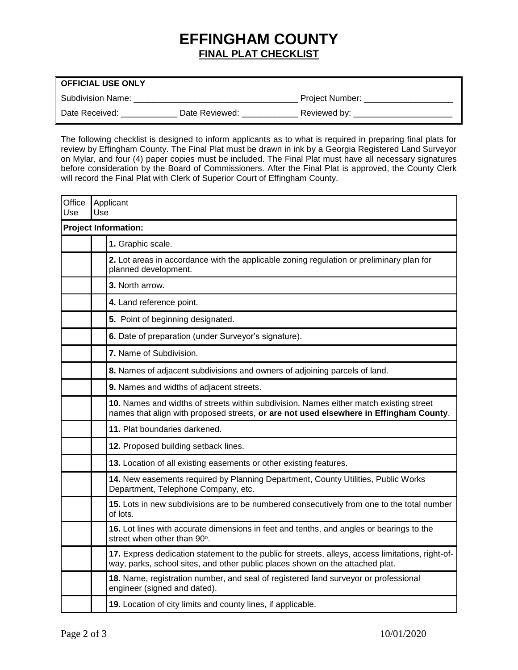## **EFFINGHAM COUNTY FINAL PLAT CHECKLIST**

| <b>OFFICIAL USE ONLY</b> |                |                 |
|--------------------------|----------------|-----------------|
| Subdivision Name:        |                | Project Number: |
| Date Received:           | Date Reviewed: | Reviewed by:    |

The following checklist is designed to inform applicants as to what is required in preparing final plats for review by Effingham County. The Final Plat must be drawn in ink by a Georgia Registered Land Surveyor on Mylar, and four (4) paper copies must be included. The Final Plat must have all necessary signatures before consideration by the Board of Commissioners. After the Final Plat is approved, the County Clerk will record the Final Plat with Clerk of Superior Court of Effingham County.

| Office<br>Use | Use                         | Applicant                                                                                                                                                                          |  |
|---------------|-----------------------------|------------------------------------------------------------------------------------------------------------------------------------------------------------------------------------|--|
|               | <b>Project Information:</b> |                                                                                                                                                                                    |  |
|               |                             | 1. Graphic scale.                                                                                                                                                                  |  |
|               |                             | 2. Lot areas in accordance with the applicable zoning regulation or preliminary plan for<br>planned development.                                                                   |  |
|               |                             | 3. North arrow.                                                                                                                                                                    |  |
|               |                             | 4. Land reference point.                                                                                                                                                           |  |
|               |                             | 5. Point of beginning designated.                                                                                                                                                  |  |
|               |                             | 6. Date of preparation (under Surveyor's signature).                                                                                                                               |  |
|               |                             | 7. Name of Subdivision.                                                                                                                                                            |  |
|               |                             | 8. Names of adjacent subdivisions and owners of adjoining parcels of land.                                                                                                         |  |
|               |                             | 9. Names and widths of adjacent streets.                                                                                                                                           |  |
|               |                             | 10. Names and widths of streets within subdivision. Names either match existing street<br>names that align with proposed streets, or are not used elsewhere in Effingham County.   |  |
|               |                             | 11. Plat boundaries darkened.                                                                                                                                                      |  |
|               |                             | 12. Proposed building setback lines.                                                                                                                                               |  |
|               |                             | 13. Location of all existing easements or other existing features.                                                                                                                 |  |
|               |                             | 14. New easements required by Planning Department, County Utilities, Public Works<br>Department, Telephone Company, etc.                                                           |  |
|               |                             | 15. Lots in new subdivisions are to be numbered consecutively from one to the total number<br>of lots.                                                                             |  |
|               |                             | 16. Lot lines with accurate dimensions in feet and tenths, and angles or bearings to the<br>street when other than 90°.                                                            |  |
|               |                             | 17. Express dedication statement to the public for streets, alleys, access limitations, right-of-<br>way, parks, school sites, and other public places shown on the attached plat. |  |
|               |                             | 18. Name, registration number, and seal of registered land surveyor or professional<br>engineer (signed and dated).                                                                |  |
|               |                             | 19. Location of city limits and county lines, if applicable.                                                                                                                       |  |